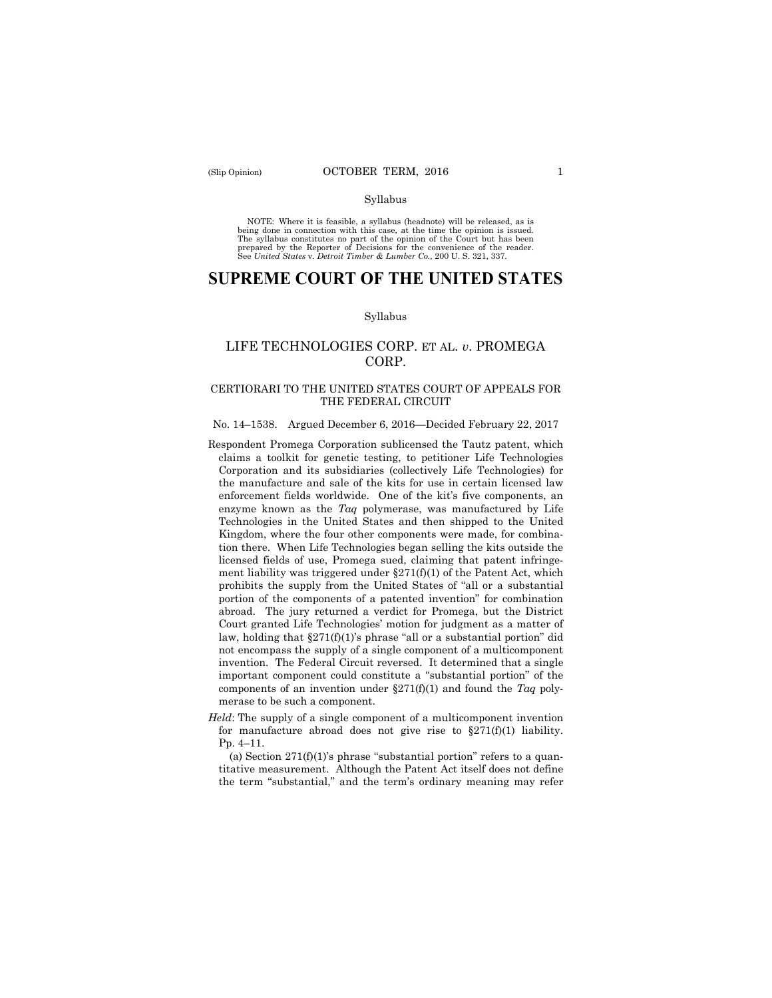#### Syllabus

NOTE: Where it is feasible, a syllabus (headnote) will be released, as is<br>being done in connection with this case, at the time the opinion is issued.<br>The syllabus constitutes no part of the opinion of the Court but has bee

# **SUPREME COURT OF THE UNITED STATES**

#### Syllabus

# LIFE TECHNOLOGIES CORP. ET AL. *v*. PROMEGA CORP.

### CERTIORARI TO THE UNITED STATES COURT OF APPEALS FOR THE FEDERAL CIRCUIT

#### No. 14–1538. Argued December 6, 2016—Decided February 22, 2017

- Respondent Promega Corporation sublicensed the Tautz patent, which claims a toolkit for genetic testing, to petitioner Life Technologies Corporation and its subsidiaries (collectively Life Technologies) for the manufacture and sale of the kits for use in certain licensed law enforcement fields worldwide. One of the kit's five components, an enzyme known as the *Taq* polymerase, was manufactured by Life Technologies in the United States and then shipped to the United Kingdom, where the four other components were made, for combination there. When Life Technologies began selling the kits outside the licensed fields of use, Promega sued, claiming that patent infringement liability was triggered under  $\S271(f)(1)$  of the Patent Act, which prohibits the supply from the United States of "all or a substantial portion of the components of a patented invention" for combination abroad. The jury returned a verdict for Promega, but the District Court granted Life Technologies' motion for judgment as a matter of law, holding that  $\S271(f)(1)$ 's phrase "all or a substantial portion" did not encompass the supply of a single component of a multicomponent invention. The Federal Circuit reversed. It determined that a single important component could constitute a "substantial portion" of the components of an invention under §271(f)(1) and found the *Taq* polymerase to be such a component.
- for manufacture abroad does not give rise to  $\S 271(f)(1)$  liability. *Held*: The supply of a single component of a multicomponent invention Pp. 4–11.

(a) Section  $271(f)(1)$ 's phrase "substantial portion" refers to a quantitative measurement. Although the Patent Act itself does not define the term "substantial," and the term's ordinary meaning may refer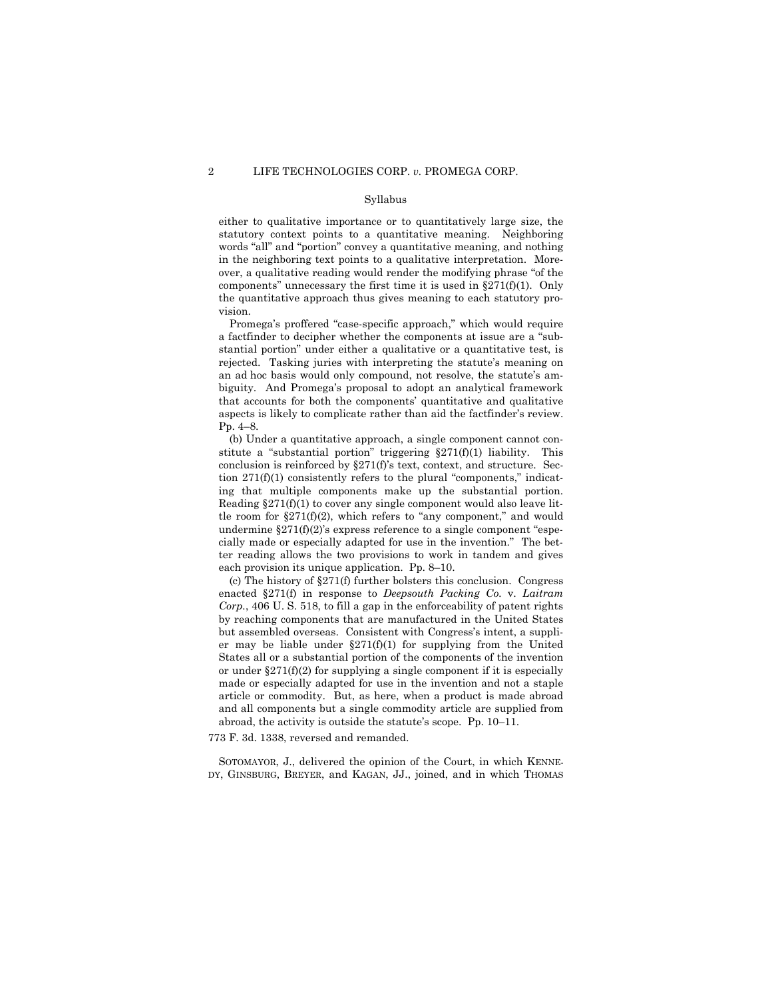### Syllabus

either to qualitative importance or to quantitatively large size, the statutory context points to a quantitative meaning. Neighboring words "all" and "portion" convey a quantitative meaning, and nothing in the neighboring text points to a qualitative interpretation. Moreover, a qualitative reading would render the modifying phrase "of the components" unnecessary the first time it is used in  $\S271(f)(1)$ . Only the quantitative approach thus gives meaning to each statutory provision.

Promega's proffered "case-specific approach," which would require a factfinder to decipher whether the components at issue are a "substantial portion" under either a qualitative or a quantitative test, is rejected. Tasking juries with interpreting the statute's meaning on an ad hoc basis would only compound, not resolve, the statute's ambiguity. And Promega's proposal to adopt an analytical framework that accounts for both the components' quantitative and qualitative aspects is likely to complicate rather than aid the factfinder's review. Pp. 4–8.

 ing that multiple components make up the substantial portion. (b) Under a quantitative approach, a single component cannot constitute a "substantial portion" triggering  $\S 271(f)(1)$  liability. This conclusion is reinforced by §271(f)'s text, context, and structure. Section  $271(f)(1)$  consistently refers to the plural "components," indicat-Reading  $\S 271(f)(1)$  to cover any single component would also leave little room for  $\S271(f)(2)$ , which refers to "any component," and would undermine  $\S271(f)(2)$ 's express reference to a single component "especially made or especially adapted for use in the invention." The better reading allows the two provisions to work in tandem and gives each provision its unique application. Pp. 8–10.

(c) The history of §271(f) further bolsters this conclusion. Congress enacted §271(f) in response to *Deepsouth Packing Co.* v. *Laitram Corp.*, 406 U. S. 518, to fill a gap in the enforceability of patent rights by reaching components that are manufactured in the United States but assembled overseas. Consistent with Congress's intent, a supplier may be liable under  $\S271(f)(1)$  for supplying from the United States all or a substantial portion of the components of the invention or under  $\S271(f)(2)$  for supplying a single component if it is especially made or especially adapted for use in the invention and not a staple article or commodity. But, as here, when a product is made abroad and all components but a single commodity article are supplied from abroad, the activity is outside the statute's scope. Pp. 10–11.

773 F. 3d. 1338, reversed and remanded.

SOTOMAYOR, J., delivered the opinion of the Court, in which KENNE-DY, GINSBURG, BREYER, and KAGAN, JJ., joined, and in which THOMAS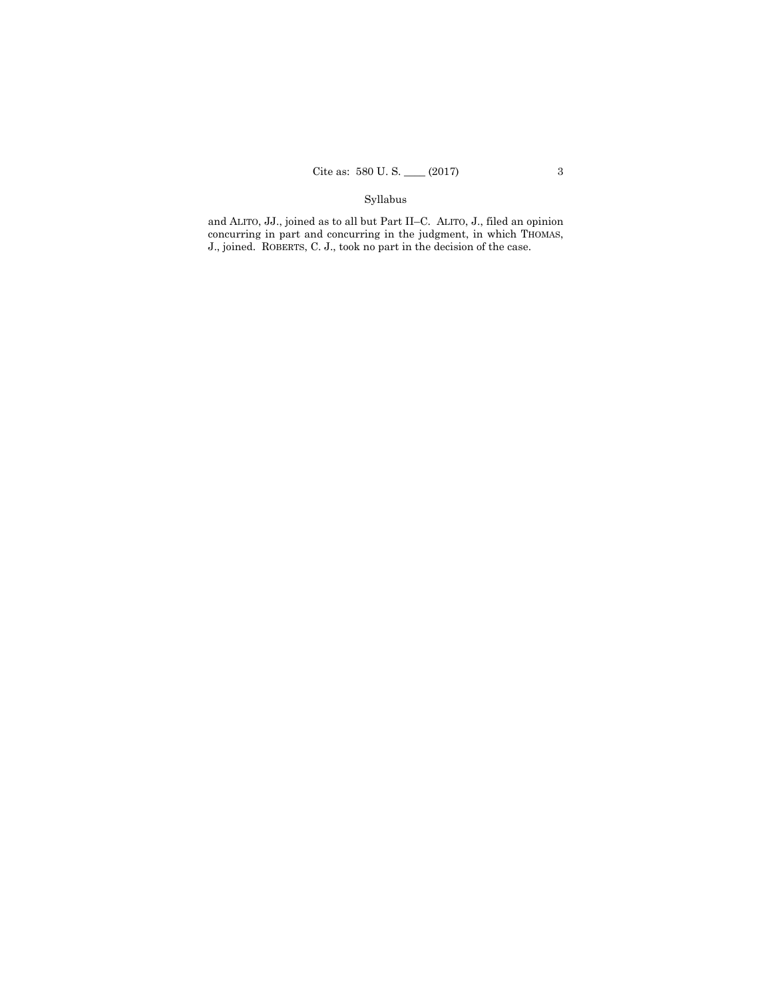## Syllabus

and ALITO, JJ., joined as to all but Part II–C. ALITO, J., filed an opinion concurring in part and concurring in the judgment, in which THOMAS, J., joined. ROBERTS, C. J., took no part in the decision of the case.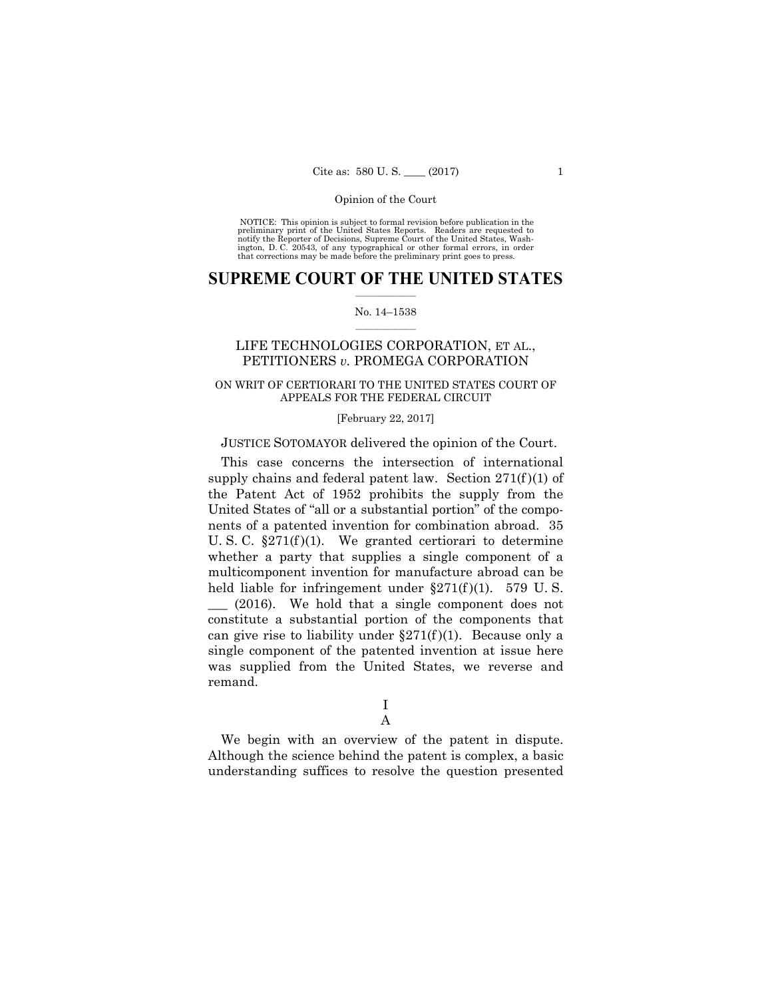NOTICE: This opinion is subject to formal revision before publication in the preliminary print of the United States Reports. Readers are requested to ington, D. C. 20543, of any typographical or other formal errors, in order that corrections may be made before the preliminary print goes to press. notify the Reporter of Decisions, Supreme Court of the United States, Wash-

### $\overline{\phantom{a}}$  , where  $\overline{\phantom{a}}$ **SUPREME COURT OF THE UNITED STATES**

#### $\mathcal{L}=\mathcal{L}^{\mathcal{L}}$ No. 14–1538

# LIFE TECHNOLOGIES CORPORATION, ET AL., PETITIONERS *v.* PROMEGA CORPORATION

### ON WRIT OF CERTIORARI TO THE UNITED STATES COURT OF APPEALS FOR THE FEDERAL CIRCUIT

#### [February 22, 2017]

## JUSTICE SOTOMAYOR delivered the opinion of the Court.

This case concerns the intersection of international supply chains and federal patent law. Section  $271(f)(1)$  of the Patent Act of 1952 prohibits the supply from the United States of "all or a substantial portion" of the components of a patented invention for combination abroad. 35 U. S. C.  $\S 271(f)(1)$ . We granted certiorari to determine whether a party that supplies a single component of a multicomponent invention for manufacture abroad can be held liable for infringement under  $\S 271(f)(1)$ . 579 U.S.  $(2016)$ . We hold that a single component does not constitute a substantial portion of the components that can give rise to liability under  $\S 271(f)(1)$ . Because only a single component of the patented invention at issue here was supplied from the United States, we reverse and remand.

A

We begin with an overview of the patent in dispute. Although the science behind the patent is complex, a basic understanding suffices to resolve the question presented

I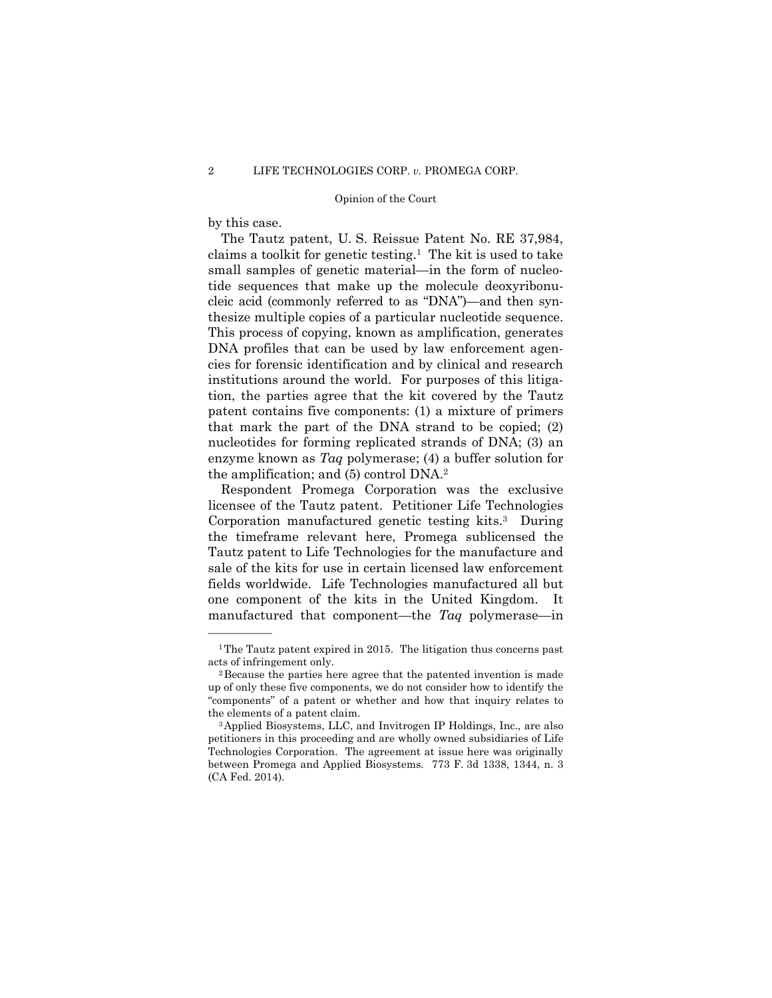by this case.

——————

The Tautz patent, U. S. Reissue Patent No. RE 37,984, claims a toolkit for genetic testing.1 The kit is used to take small samples of genetic material—in the form of nucleotide sequences that make up the molecule deoxyribonu cleic acid (commonly referred to as "DNA")—and then synthesize multiple copies of a particular nucleotide sequence. This process of copying, known as amplification, generates DNA profiles that can be used by law enforcement agencies for forensic identification and by clinical and research institutions around the world. For purposes of this litigation, the parties agree that the kit covered by the Tautz patent contains five components: (1) a mixture of primers that mark the part of the DNA strand to be copied; (2) nucleotides for forming replicated strands of DNA; (3) an enzyme known as *Taq* polymerase; (4) a buffer solution for the amplification; and (5) control DNA.2

Respondent Promega Corporation was the exclusive licensee of the Tautz patent. Petitioner Life Technologies Corporation manufactured genetic testing kits.<sup>3</sup> During the timeframe relevant here, Promega sublicensed the Tautz patent to Life Technologies for the manufacture and sale of the kits for use in certain licensed law enforcement fields worldwide. Life Technologies manufactured all but one component of the kits in the United Kingdom. It manufactured that component—the *Taq* polymerase—in

<sup>&</sup>lt;sup>1</sup>The Tautz patent expired in 2015. The litigation thus concerns past acts of infringement only.

 up of only these five components, we do not consider how to identify the 2Because the parties here agree that the patented invention is made "components" of a patent or whether and how that inquiry relates to the elements of a patent claim.

<sup>3</sup>Applied Biosystems, LLC, and Invitrogen IP Holdings, Inc., are also petitioners in this proceeding and are wholly owned subsidiaries of Life Technologies Corporation. The agreement at issue here was originally between Promega and Applied Biosystems*.* 773 F. 3d 1338, 1344, n. 3 (CA Fed. 2014).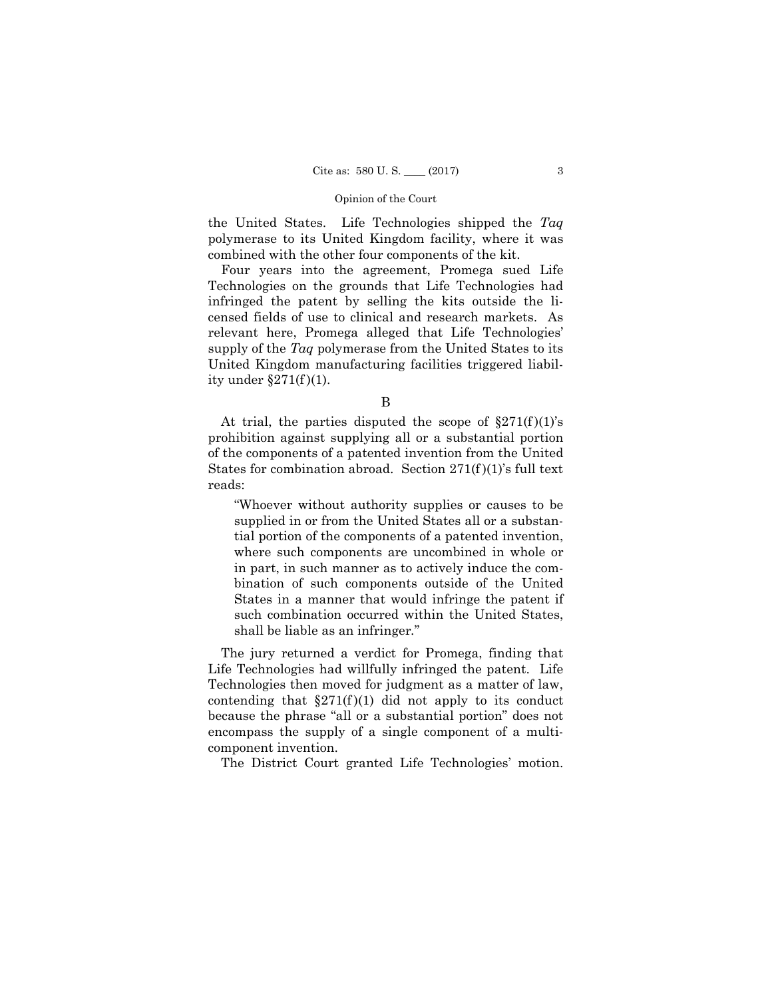the United States. Life Technologies shipped the *Taq* polymerase to its United Kingdom facility, where it was combined with the other four components of the kit.

Four years into the agreement, Promega sued Life Technologies on the grounds that Life Technologies had infringed the patent by selling the kits outside the licensed fields of use to clinical and research markets. As relevant here, Promega alleged that Life Technologies' supply of the *Taq* polymerase from the United States to its United Kingdom manufacturing facilities triggered liability under  $\S271(f)(1)$ .

At trial, the parties disputed the scope of  $\S 271(f)(1)$ 's prohibition against supplying all or a substantial portion of the components of a patented invention from the United States for combination abroad. Section  $271(f)(1)$ 's full text reads:

"Whoever without authority supplies or causes to be supplied in or from the United States all or a substantial portion of the components of a patented invention, where such components are uncombined in whole or in part, in such manner as to actively induce the combination of such components outside of the United States in a manner that would infringe the patent if such combination occurred within the United States, shall be liable as an infringer*.*"

The jury returned a verdict for Promega, finding that Life Technologies had willfully infringed the patent. Life Technologies then moved for judgment as a matter of law, contending that  $\S271(f)(1)$  did not apply to its conduct because the phrase "all or a substantial portion" does not encompass the supply of a single component of a multicomponent invention.

The District Court granted Life Technologies' motion.

B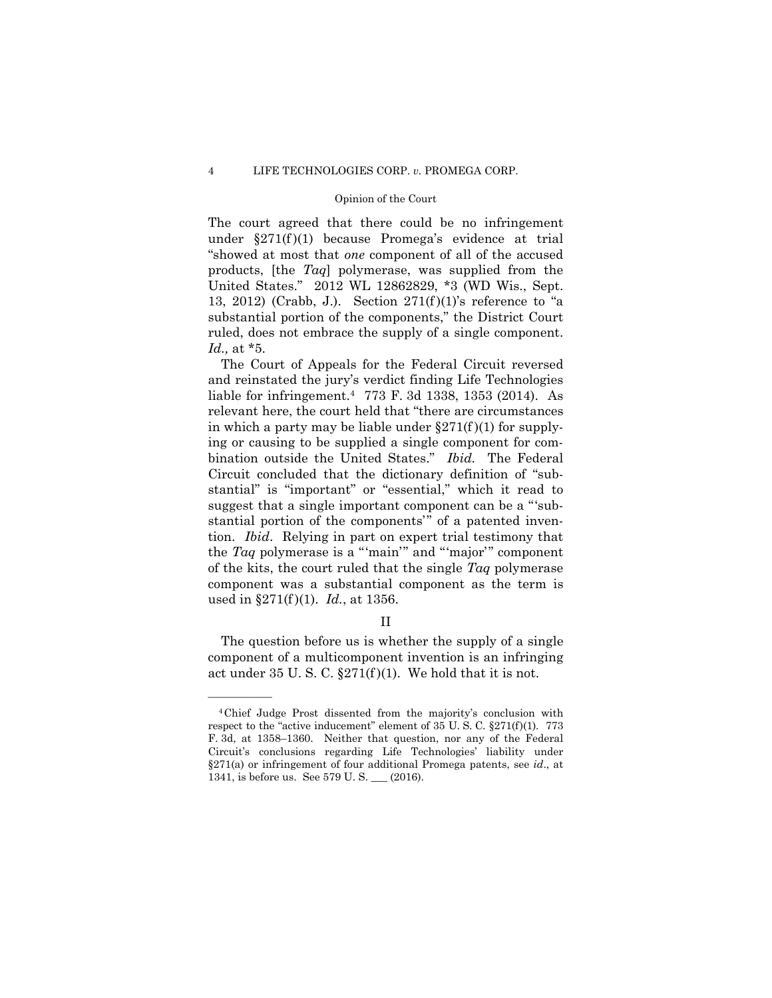### Opinion of the Court

The court agreed that there could be no infringement under  $\S 271(f)(1)$  because Promega's evidence at trial "showed at most that *one* component of all of the accused products, [the *Taq*] polymerase, was supplied from the United States." 2012 WL 12862829, \*3 (WD Wis., Sept. 13, 2012) (Crabb, J.). Section  $271(f)(1)$ 's reference to "a substantial portion of the components," the District Court ruled, does not embrace the supply of a single component. *Id.,* at \*5.

The Court of Appeals for the Federal Circuit reversed and reinstated the jury's verdict finding Life Technologies liable for infringement.4 773 F. 3d 1338, 1353 (2014). As relevant here, the court held that "there are circumstances in which a party may be liable under  $\S 271(f)(1)$  for supplying or causing to be supplied a single component for combination outside the United States." Ibid. The Federal Circuit concluded that the dictionary definition of "substantial" is "important" or "essential," which it read to suggest that a single important component can be a "'substantial portion of the components" of a patented invention. *Ibid*. Relying in part on expert trial testimony that the *Taq* polymerase is a "'main'" and "'major'" component of the kits, the court ruled that the single *Taq* polymerase component was a substantial component as the term is used in §271(f )(1). *Id.*, at 1356.

# II

The question before us is whether the supply of a single component of a multicomponent invention is an infringing act under  $35 \text{ U}$ . S. C.  $\S 271 \text{ (f)}(1)$ . We hold that it is not.

<sup>4</sup>Chief Judge Prost dissented from the majority's conclusion with respect to the "active inducement" element of 35 U. S. C. §271(f)(1). 773 F. 3d, at 1358–1360. Neither that question, nor any of the Federal Circuit's conclusions regarding Life Technologies' liability under §271(a) or infringement of four additional Promega patents, see *id*., at 1341, is before us. See 579 U. S. \_\_\_ (2016).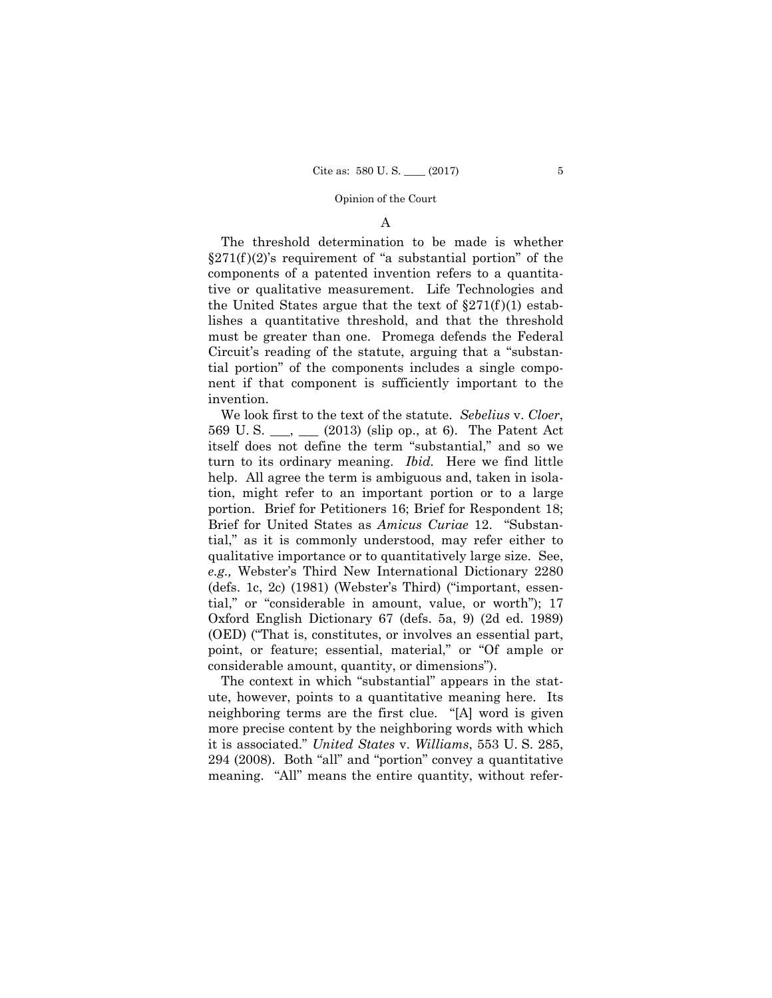# A

The threshold determination to be made is whether  $\S 271(f)(2)$ 's requirement of "a substantial portion" of the components of a patented invention refers to a quantitative or qualitative measurement. Life Technologies and the United States argue that the text of  $\S 271(f)(1)$  establishes a quantitative threshold, and that the threshold must be greater than one. Promega defends the Federal Circuit's reading of the statute, arguing that a "substantial portion" of the components includes a single component if that component is sufficiently important to the invention.

We look first to the text of the statute. *Sebelius* v. *Cloer*, 569 U. S. \_\_\_, \_\_\_ (2013) (slip op., at 6). The Patent Act itself does not define the term "substantial," and so we turn to its ordinary meaning. *Ibid*. Here we find little help. All agree the term is ambiguous and, taken in isolation, might refer to an important portion or to a large portion. Brief for Petitioners 16; Brief for Respondent 18; Brief for United States as *Amicus Curiae* 12. "Substantial," as it is commonly understood, may refer either to qualitative importance or to quantitatively large size. See, *e.g.,* Webster's Third New International Dictionary 2280 (defs. 1c, 2c) (1981) (Webster's Third) ("important, essential," or "considerable in amount, value, or worth"); 17 Oxford English Dictionary 67 (defs. 5a, 9) (2d ed. 1989) (OED) ("That is, constitutes, or involves an essential part, point, or feature; essential, material," or "Of ample or considerable amount, quantity, or dimensions").

The context in which "substantial" appears in the statute, however, points to a quantitative meaning here. Its neighboring terms are the first clue. "[A] word is given more precise content by the neighboring words with which it is associated." *United States* v. *Williams*, 553 U. S. 285, 294 (2008). Both "all" and "portion" convey a quantitative meaning. "All" means the entire quantity, without refer-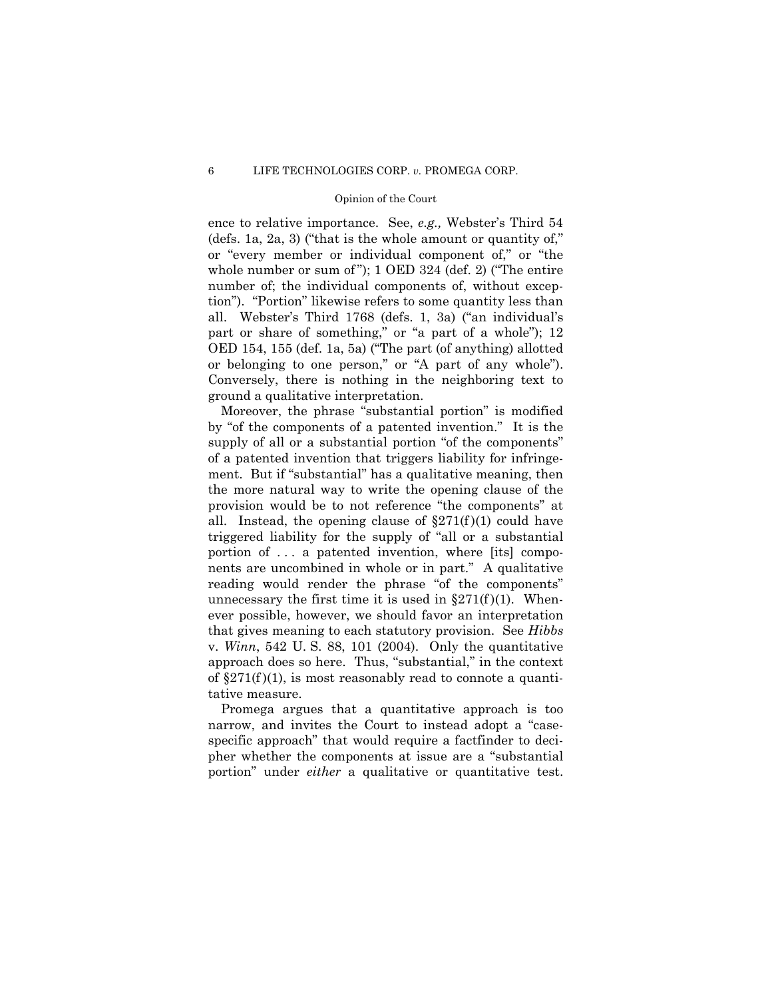### Opinion of the Court

ence to relative importance. See, *e.g.,* Webster's Third 54 (defs. 1a, 2a, 3) ("that is the whole amount or quantity of," or "every member or individual component of," or "the whole number or sum of "); 1 OED 324 (def. 2) ("The entire number of; the individual components of, without exception"). "Portion" likewise refers to some quantity less than all. Webster's Third 1768 (defs. 1, 3a) ("an individual's part or share of something," or "a part of a whole"); 12 OED 154, 155 (def. 1a, 5a) ("The part (of anything) allotted or belonging to one person," or "A part of any whole"). Conversely, there is nothing in the neighboring text to ground a qualitative interpretation.

Moreover, the phrase "substantial portion" is modified by "of the components of a patented invention." It is the supply of all or a substantial portion "of the components" of a patented invention that triggers liability for infringement. But if "substantial" has a qualitative meaning, then the more natural way to write the opening clause of the provision would be to not reference "the components" at all. Instead, the opening clause of  $\S 271(f)(1)$  could have triggered liability for the supply of "all or a substantial portion of ... a patented invention, where [its] components are uncombined in whole or in part." A qualitative reading would render the phrase "of the components" unnecessary the first time it is used in  $\S271(f)(1)$ . Whenever possible, however, we should favor an interpretation that gives meaning to each statutory provision. See *Hibbs*  v. *Winn*, 542 U. S. 88, 101 (2004). Only the quantitative approach does so here. Thus, "substantial," in the context of  $\S271(f)(1)$ , is most reasonably read to connote a quantitative measure.

portion" under *either* a qualitative or quantitative test. Promega argues that a quantitative approach is too narrow, and invites the Court to instead adopt a "casespecific approach" that would require a factfinder to decipher whether the components at issue are a "substantial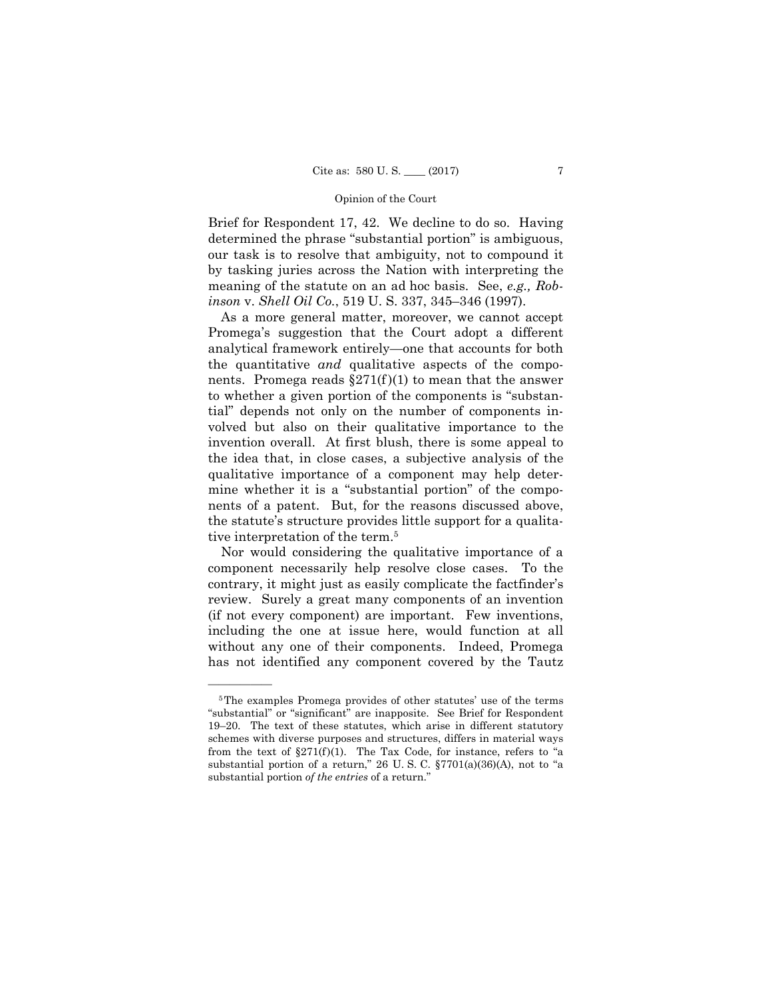Brief for Respondent 17, 42. We decline to do so. Having determined the phrase "substantial portion" is ambiguous, our task is to resolve that ambiguity, not to compound it by tasking juries across the Nation with interpreting the meaning of the statute on an ad hoc basis. See, *e.g., Robinson* v. *Shell Oil Co.*, 519 U. S. 337, 345–346 (1997).

As a more general matter, moreover, we cannot accept Promega's suggestion that the Court adopt a different analytical framework entirely—one that accounts for both the quantitative *and* qualitative aspects of the components. Promega reads  $\S271(f)(1)$  to mean that the answer to whether a given portion of the components is "substantial" depends not only on the number of components involved but also on their qualitative importance to the invention overall. At first blush, there is some appeal to the idea that, in close cases, a subjective analysis of the qualitative importance of a component may help determine whether it is a "substantial portion" of the components of a patent. But, for the reasons discussed above, the statute's structure provides little support for a qualitative interpretation of the term.5

Nor would considering the qualitative importance of a component necessarily help resolve close cases. To the contrary, it might just as easily complicate the factfinder's review. Surely a great many components of an invention (if not every component) are important. Few inventions, including the one at issue here, would function at all without any one of their components. Indeed, Promega has not identified any component covered by the Tautz

<sup>5</sup>The examples Promega provides of other statutes' use of the terms "substantial" or "significant" are inapposite. See Brief for Respondent 19–20. The text of these statutes, which arise in different statutory schemes with diverse purposes and structures, differs in material ways from the text of  $\S271(f)(1)$ . The Tax Code, for instance, refers to "a substantial portion of a return," 26 U.S.C. §7701(a)(36)(A), not to "a substantial portion *of the entries* of a return."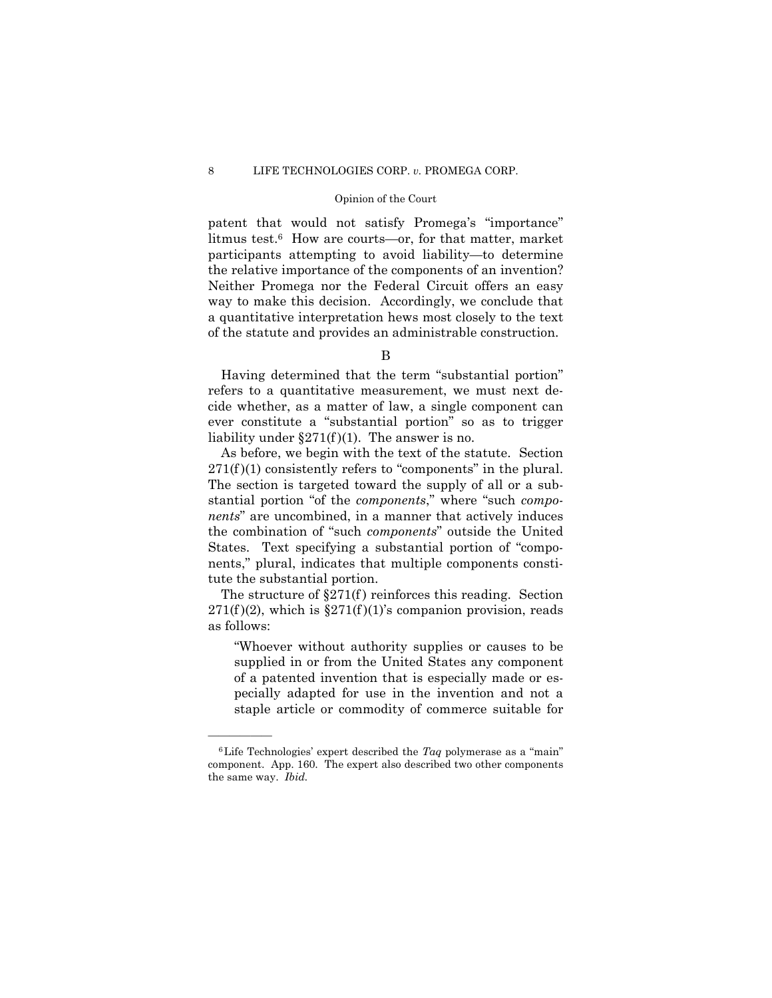### Opinion of the Court

 the relative importance of the components of an invention? patent that would not satisfy Promega's "importance" litmus test.6 How are courts—or, for that matter, market participants attempting to avoid liability—to determine Neither Promega nor the Federal Circuit offers an easy way to make this decision. Accordingly, we conclude that a quantitative interpretation hews most closely to the text of the statute and provides an administrable construction.

B

Having determined that the term "substantial portion" refers to a quantitative measurement, we must next decide whether, as a matter of law, a single component can ever constitute a "substantial portion" so as to trigger liability under  $\S271(f)(1)$ . The answer is no.

As before, we begin with the text of the statute. Section  $271(f)(1)$  consistently refers to "components" in the plural. The section is targeted toward the supply of all or a substantial portion "of the *components*," where "such *components*" are uncombined, in a manner that actively induces the combination of "such *components*" outside the United States. Text specifying a substantial portion of "components," plural, indicates that multiple components constitute the substantial portion.

The structure of  $\S271(f)$  reinforces this reading. Section  $271(f)(2)$ , which is  $\S271(f)(1)$ 's companion provision, reads as follows:

"Whoever without authority supplies or causes to be supplied in or from the United States any component of a patented invention that is especially made or especially adapted for use in the invention and not a staple article or commodity of commerce suitable for

 the same way. *Ibid.*  $6$ Life Technologies' expert described the *Taq* polymerase as a "main" component. App. 160. The expert also described two other components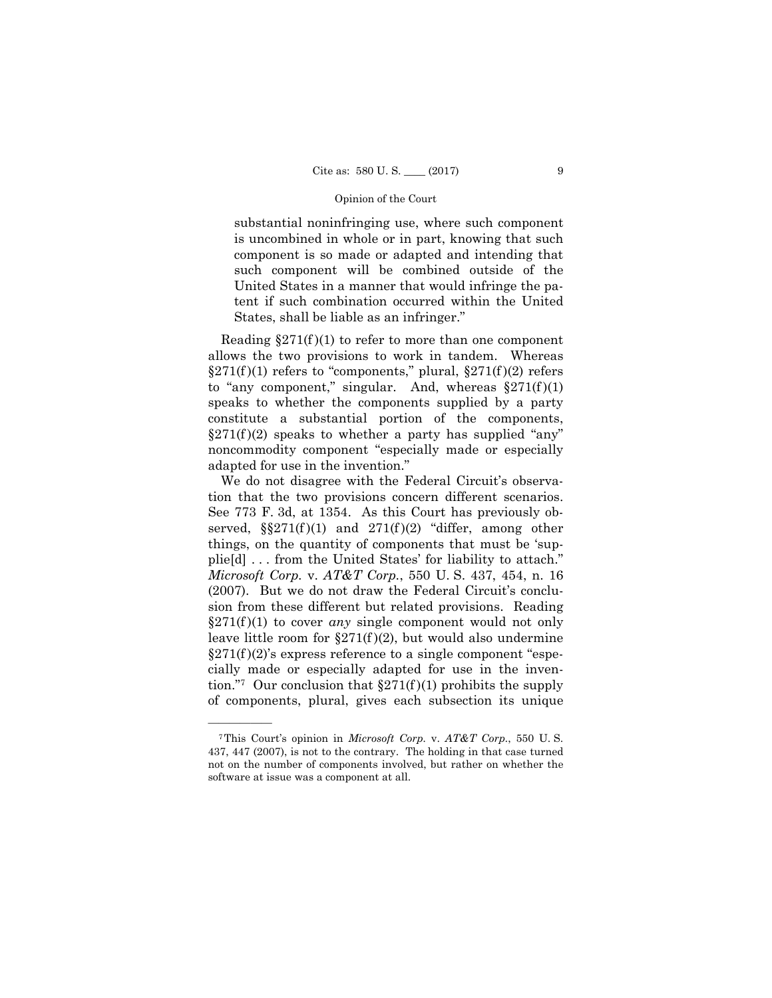substantial noninfringing use, where such component is uncombined in whole or in part, knowing that such component is so made or adapted and intending that such component will be combined outside of the United States in a manner that would infringe the patent if such combination occurred within the United States, shall be liable as an infringer."

Reading  $\S 271(f)(1)$  to refer to more than one component allows the two provisions to work in tandem. Whereas  $\S 271(f)(1)$  refers to "components," plural,  $\S 271(f)(2)$  refers to "any component," singular. And, whereas  $\S 271(f)(1)$ speaks to whether the components supplied by a party constitute a substantial portion of the components,  $\S 271(f)(2)$  speaks to whether a party has supplied "any" noncommodity component "especially made or especially adapted for use in the invention."

We do not disagree with the Federal Circuit's observation that the two provisions concern different scenarios. See 773 F. 3d, at 1354. As this Court has previously observed,  $\S271(f)(1)$  and  $271(f)(2)$  "differ, among other things, on the quantity of components that must be 'supplie[d] . . . from the United States' for liability to attach." *Microsoft Corp.* v. *AT&T Corp.*, 550 U. S. 437, 454, n. 16 (2007). But we do not draw the Federal Circuit's conclusion from these different but related provisions. Reading  $\S 271(f)(1)$  to cover *any* single component would not only leave little room for  $\S271(f)(2)$ , but would also undermine  $\S271(f)(2)$ 's express reference to a single component "especially made or especially adapted for use in the invention."<sup>7</sup> Our conclusion that  $\S 271(f)(1)$  prohibits the supply of components, plural, gives each subsection its unique

<sup>7</sup>This Court's opinion in *Microsoft Corp.* v. *AT&T Corp.*, 550 U. S. 437, 447 (2007), is not to the contrary. The holding in that case turned not on the number of components involved, but rather on whether the software at issue was a component at all.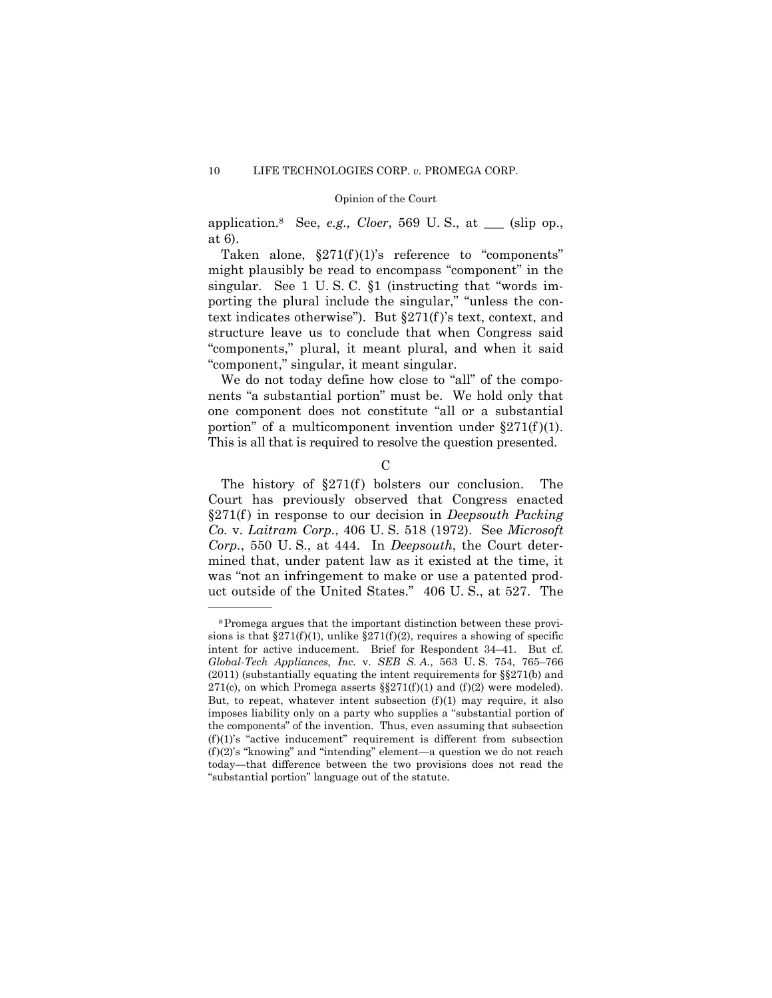application.8 See, *e.g., Cloer*, 569 U. S., at \_\_\_ (slip op., at 6).

Taken alone,  $\S 271(f)(1)$ 's reference to "components" might plausibly be read to encompass "component" in the singular. See 1 U.S.C. §1 (instructing that "words importing the plural include the singular," "unless the context indicates otherwise"). But §271(f )'s text, context, and structure leave us to conclude that when Congress said "components," plural, it meant plural, and when it said "component," singular, it meant singular.

We do not today define how close to "all" of the components "a substantial portion" must be. We hold only that one component does not constitute "all or a substantial portion" of a multicomponent invention under  $\S 271(f)(1)$ . This is all that is required to resolve the question presented.

 $\mathcal{C}$ 

The history of  $\S271(f)$  bolsters our conclusion. The Court has previously observed that Congress enacted §271(f ) in response to our decision in *Deepsouth Packing Co.* v. *Laitram Corp.*, 406 U. S. 518 (1972). See *Microsoft Corp.*, 550 U. S., at 444. In *Deepsouth*, the Court determined that, under patent law as it existed at the time, it was "not an infringement to make or use a patented product outside of the United States." 406 U. S., at 527. The

<sup>8</sup>Promega argues that the important distinction between these provisions is that  $\S271(f)(1)$ , unlike  $\S271(f)(2)$ , requires a showing of specific intent for active inducement. Brief for Respondent 34–41. But cf. *Global-Tech Appliances, Inc.* v. *SEB S. A.*, 563 U. S. 754, 765–766 (2011) (substantially equating the intent requirements for §§271(b) and 271(c), on which Promega asserts  $\S$ 271(f)(1) and (f)(2) were modeled). But, to repeat, whatever intent subsection  $(f)(1)$  may require, it also imposes liability only on a party who supplies a "substantial portion of the components" of the invention. Thus, even assuming that subsection  $(f)(1)$ 's "active inducement" requirement is different from subsection (f)(2)'s "knowing" and "intending" element—a question we do not reach today—that difference between the two provisions does not read the "substantial portion" language out of the statute.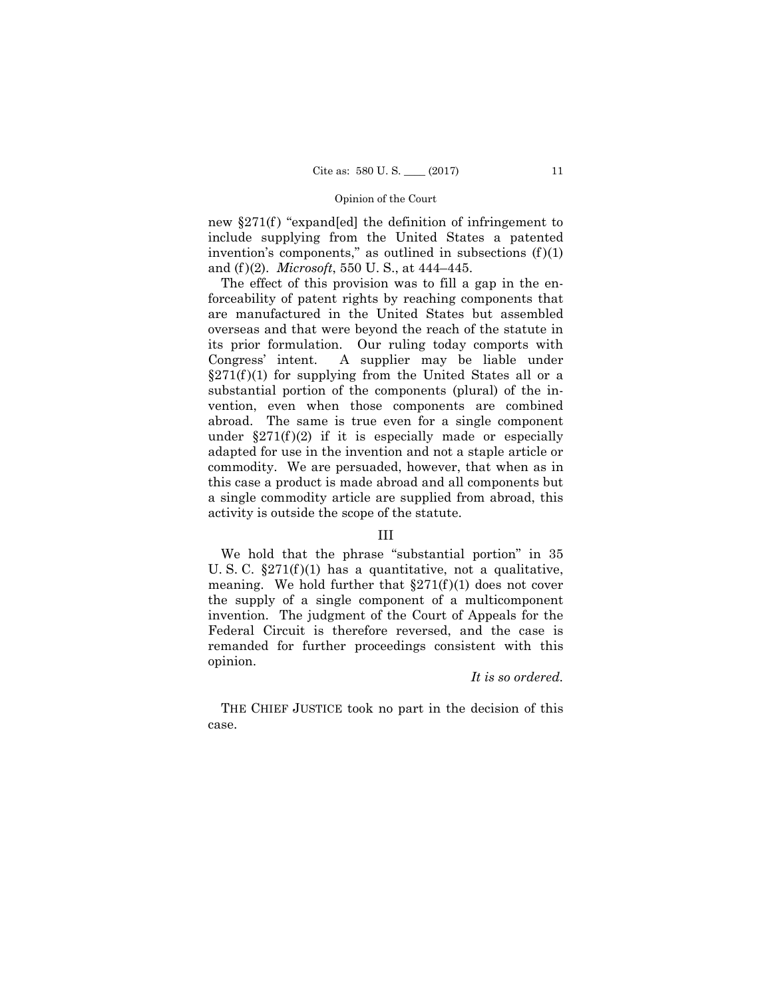new  $\S 271(f)$  "expand[ed] the definition of infringement to include supplying from the United States a patented invention's components," as outlined in subsections  $(f)(1)$ and (f )(2). *Microsoft*, 550 U. S., at 444–445.

The effect of this provision was to fill a gap in the enforceability of patent rights by reaching components that are manufactured in the United States but assembled overseas and that were beyond the reach of the statute in its prior formulation. Our ruling today comports with Congress' intent. A supplier may be liable under  $\S 271(f)(1)$  for supplying from the United States all or a substantial portion of the components (plural) of the invention, even when those components are combined abroad. The same is true even for a single component under  $\S 271(f)(2)$  if it is especially made or especially adapted for use in the invention and not a staple article or commodity. We are persuaded, however, that when as in this case a product is made abroad and all components but a single commodity article are supplied from abroad, this activity is outside the scope of the statute.

### III

We hold that the phrase "substantial portion" in 35 U. S. C.  $\S 271(f)(1)$  has a quantitative, not a qualitative, meaning. We hold further that  $\S 271(f)(1)$  does not cover the supply of a single component of a multicomponent invention. The judgment of the Court of Appeals for the Federal Circuit is therefore reversed, and the case is remanded for further proceedings consistent with this opinion.

### *It is so ordered.*

 THE CHIEF JUSTICE took no part in the decision of this case.